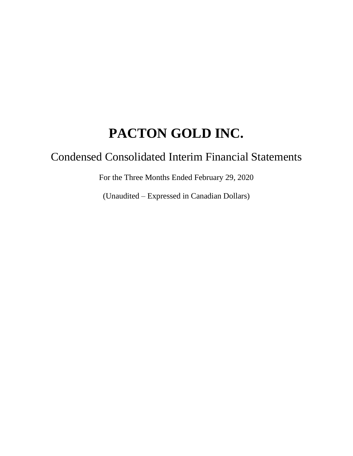# Condensed Consolidated Interim Financial Statements

For the Three Months Ended February 29, 2020

(Unaudited – Expressed in Canadian Dollars)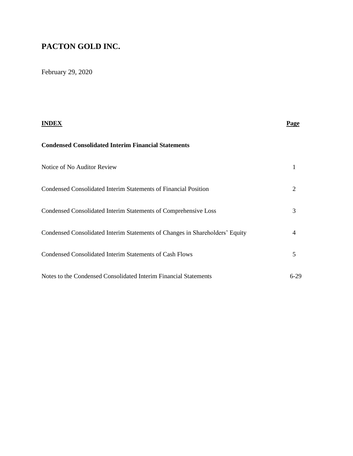February 29, 2020

| INDEX                                                                        | <b>Page</b> |
|------------------------------------------------------------------------------|-------------|
| <b>Condensed Consolidated Interim Financial Statements</b>                   |             |
| Notice of No Auditor Review                                                  |             |
| Condensed Consolidated Interim Statements of Financial Position              | 2           |
| Condensed Consolidated Interim Statements of Comprehensive Loss              | 3           |
| Condensed Consolidated Interim Statements of Changes in Shareholders' Equity | 4           |
| Condensed Consolidated Interim Statements of Cash Flows                      | 5           |
| Notes to the Condensed Consolidated Interim Financial Statements             | 6-29        |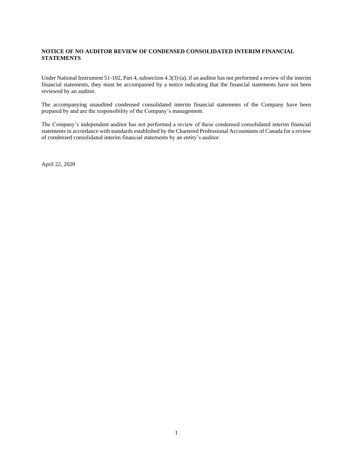#### **NOTICE OF NO AUDITOR REVIEW OF CONDENSED CONSOLIDATED INTERIM FINANCIAL STATEMENTS**

Under National Instrument 51-102, Part 4, subsection 4.3(3) (a), if an auditor has not performed a review of the interim financial statements, they must be accompanied by a notice indicating that the financial statements have not been reviewed by an auditor.

The accompanying unaudited condensed consolidated interim financial statements of the Company have been prepared by and are the responsibility of the Company's management.

The Company's independent auditor has not performed a review of these condensed consolidated interim financial statements in accordance with standards established by the Chartered Professional Accountants of Canada for a review of condensed consolidated interim financial statements by an entity's auditor.

April 22, 2020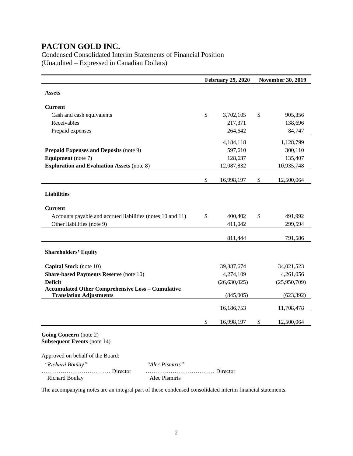Condensed Consolidated Interim Statements of Financial Position (Unaudited – Expressed in Canadian Dollars)

|                                                                                            |                 | <b>February 29, 2020</b> |    | <b>November 30, 2019</b> |
|--------------------------------------------------------------------------------------------|-----------------|--------------------------|----|--------------------------|
| <b>Assets</b>                                                                              |                 |                          |    |                          |
|                                                                                            |                 |                          |    |                          |
| <b>Current</b>                                                                             |                 |                          |    |                          |
| Cash and cash equivalents                                                                  |                 | \$<br>3,702,105          | \$ | 905,356                  |
| Receivables                                                                                |                 | 217,371                  |    | 138,696                  |
| Prepaid expenses                                                                           |                 | 264,642                  |    | 84,747                   |
|                                                                                            |                 | 4,184,118                |    | 1,128,799                |
| <b>Prepaid Expenses and Deposits (note 9)</b>                                              |                 | 597,610                  |    | 300,110                  |
| <b>Equipment</b> (note 7)                                                                  |                 | 128,637                  |    | 135,407                  |
| <b>Exploration and Evaluation Assets (note 8)</b>                                          |                 | 12,087,832               |    | 10,935,748               |
|                                                                                            |                 | \$<br>16,998,197         | \$ | 12,500,064               |
|                                                                                            |                 |                          |    |                          |
| <b>Liabilities</b>                                                                         |                 |                          |    |                          |
| <b>Current</b>                                                                             |                 |                          |    |                          |
| Accounts payable and accrued liabilities (notes 10 and 11)                                 |                 | \$<br>400,402            | \$ | 491,992                  |
| Other liabilities (note 9)                                                                 |                 | 411,042                  |    | 299,594                  |
|                                                                                            |                 |                          |    |                          |
|                                                                                            |                 | 811,444                  |    | 791,586                  |
| <b>Shareholders' Equity</b>                                                                |                 |                          |    |                          |
|                                                                                            |                 |                          |    |                          |
| <b>Capital Stock</b> (note 10)                                                             |                 | 39,387,674               |    | 34,021,523               |
| <b>Share-based Payments Reserve (note 10)</b>                                              |                 | 4,274,109                |    | 4,261,056                |
| <b>Deficit</b>                                                                             |                 | (26, 630, 025)           |    | (25,950,709)             |
| <b>Accumulated Other Comprehensive Loss - Cumulative</b><br><b>Translation Adjustments</b> |                 | (845,005)                |    | (623, 392)               |
|                                                                                            |                 | 16,186,753               |    | 11,708,478               |
|                                                                                            |                 | \$<br>16,998,197         | \$ | 12,500,064               |
| Going Concern (note 2)<br><b>Subsequent Events (note 14)</b>                               |                 |                          |    |                          |
| Approved on behalf of the Board:                                                           |                 |                          |    |                          |
| "Richard Boulay"                                                                           | "Alec Pismiris" |                          |    |                          |
| Director<br><b>Richard Boulay</b>                                                          | Alec Pismiris   | Director                 |    |                          |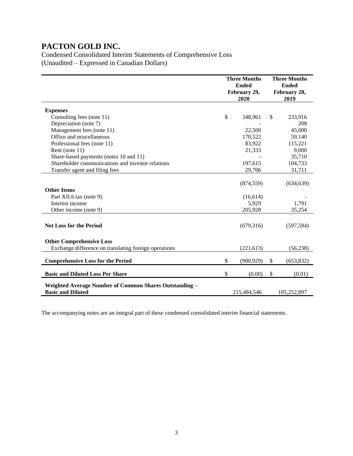Condensed Consolidated Interim Statements of Comprehensive Loss (Unaudited – Expressed in Canadian Dollars)

|                                                                                                                            | <b>Three Months</b><br><b>Ended</b><br>February 29,<br>2020 | <b>Three Months</b><br><b>Ended</b><br>February 28,<br>2019 |                               |
|----------------------------------------------------------------------------------------------------------------------------|-------------------------------------------------------------|-------------------------------------------------------------|-------------------------------|
| <b>Expenses</b>                                                                                                            |                                                             |                                                             |                               |
| Consulting fees (note 11)                                                                                                  | \$<br>348,961                                               | \$                                                          | 233,916                       |
| Depreciation (note 7)                                                                                                      |                                                             |                                                             | 208                           |
| Management fees (note 11)                                                                                                  | 22,500                                                      |                                                             | 45,000                        |
| Office and miscellaneous                                                                                                   | 170.522                                                     |                                                             | 59,140                        |
| Professional fees (note 11)                                                                                                | 83,922                                                      |                                                             | 115,221                       |
| Rent (note 11)                                                                                                             | 21,333                                                      |                                                             | 9,000                         |
| Share-based payments (notes 10 and 11)                                                                                     |                                                             |                                                             | 35,710                        |
| Shareholder communications and investor relations                                                                          | 197,615                                                     |                                                             | 104,733                       |
| Transfer agent and filing fees                                                                                             | 29,706                                                      |                                                             | 31,711                        |
| <b>Other Items</b><br>Part XII.6 tax (note 9)<br>Interest income<br>Other income (note 9)                                  | (874, 559)<br>(16,614)<br>5,929<br>205,928                  |                                                             | (634, 639)<br>1,791<br>35,254 |
| <b>Net Loss for the Period</b><br><b>Other Comprehensive Loss</b><br>Exchange difference on translating foreign operations | (679,316)<br>(221, 613)                                     |                                                             | (597, 594)<br>(56, 238)       |
| <b>Comprehensive Loss for the Period</b>                                                                                   | \$<br>(900, 929)                                            | \$                                                          | (653, 832)                    |
| <b>Basic and Diluted Loss Per Share</b>                                                                                    | \$<br>(0.00)                                                | \$                                                          | (0.01)                        |
| Weighted Average Number of Common Shares Outstanding -<br><b>Basic and Diluted</b>                                         | 215,484,546                                                 |                                                             | 105,252,897                   |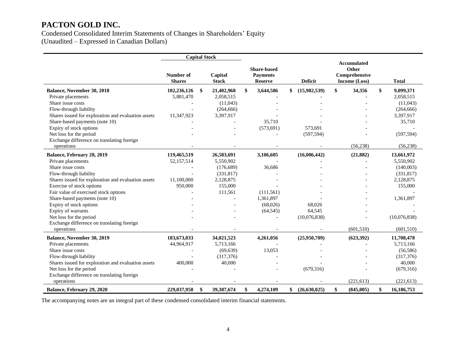Condensed Consolidated Interim Statements of Changes in Shareholders' Equity (Unaudited – Expressed in Canadian Dollars)

**Capital Stock Number of Shares Capital Stock Share-based Payments Reserve Deficit Accumulated Other Comprehensive Income (Loss) Total Balance, November 30, 2018 102,236,126 \$ 21,402,968 \$ 3,644,586 \$ (15,982,539) \$ 34,356 \$ 9,099,371** Private placements **5,881,470** 2,058,515 - - 2,058,515 2,058,515 Share issue costs **Share issue costs** (11,043) (11,043) Flow-through liability (264,666) (264,666) - (264,666) (264,666) (264,666) Shares issued for exploration and evaluation assets 11,347,923 3,397,917 - - - - - - - 3,397,917 3,397,917 Share-based payments (note 10)  $\qquad \qquad \qquad \qquad \qquad \qquad \qquad \qquad \qquad \qquad \qquad \qquad \qquad \qquad \qquad \qquad \qquad \qquad \qquad \qquad \qquad \qquad \qquad \qquad \qquad \qquad \qquad \$ Expiry of stock options  $\qquad \qquad -$  (573,691) 573,691 573,691 Net loss for the period (597,594) - (597,594) - (597,594) - (597,594) Exchange difference on translating foreign operations (56,238) (56,238) (56,238) (56,238) **Balance, February 28, 2019 119,465,519 26,583,691 3,106,605 (16,006,442) (21,882) 13,661,972** Private placements 52,157,514 5,550,902 - 5,550,902 5,550,902 Share issue costs **Share issue costs** (176,689) 36,686 - - (140,003) Flow-through liability (331,817) (331,817) (331,817) Shares issued for exploration and evaluation assets 11,100,000 2,128,875 - - - - - - - - - - - - - - - - - - 2,128,875 Exercise of stock options 155,000 155,000 155,000 - - - - - 155,000 155,000 155,000 Fair value of exercised stock options  $111,561$  (111,561) (111,561) Share-based payments (note 10)  $\qquad \qquad - \qquad \qquad - \qquad \qquad 1,361,897$   $\qquad \qquad - \qquad \qquad 1,361,897$ Expiry of stock options 68,026 - - (68,026) 68,026 - (68,026) 68,026 Expiry of warrants 64,545  $-$  - (64,545) 64,545 - (64,545) 64,545 Net loss for the period 10,076,838) (10,076,838) (10,076,838) (10,076,838) Exchange difference on translating foreign operations (601,510) (601,510) (601,510) **Balance, November 30, 2019 183,673,033 34,021,523 4,261,056 (25,950,709) (623,392) 11,708,478** Private placements **44,964,917** 5,713,166 - 5,713,166 5,713,166 Share issue costs **Share issue costs** (56,586) 13,053 - The state issue costs (56,586) Flow-through liability (317,376) (317,376) (317,376) (317,376) Shares issued for exploration and evaluation assets  $400,000$   $40,000$  -  $-$  -  $40,000$ Net loss for the period (679,316) - (679,316) - (679,316) - (679,316) Exchange difference on translating foreign operations (221,613) (221,613) (221,613) **Balance, February 29, 2020 229,037,950 \$ 39,387,674 \$ 4,274,109 \$ (26,630,025) \$ (845,005) \$ 16,186,753**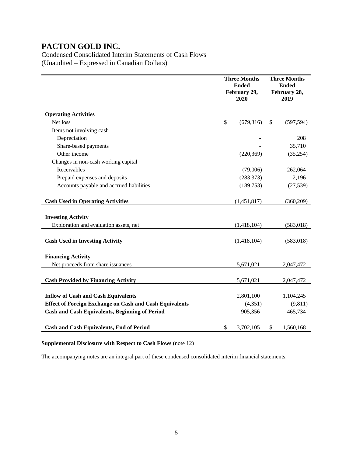Condensed Consolidated Interim Statements of Cash Flows (Unaudited – Expressed in Canadian Dollars)

|                                                                | <b>Three Months</b><br><b>Ended</b><br>February 29,<br>2020 |    | <b>Three Months</b><br><b>Ended</b><br>February 28,<br>2019 |
|----------------------------------------------------------------|-------------------------------------------------------------|----|-------------------------------------------------------------|
| <b>Operating Activities</b>                                    |                                                             |    |                                                             |
| Net loss                                                       | \$<br>(679,316)                                             | \$ | (597, 594)                                                  |
| Items not involving cash                                       |                                                             |    |                                                             |
| Depreciation                                                   |                                                             |    | 208                                                         |
| Share-based payments                                           |                                                             |    | 35,710                                                      |
| Other income                                                   | (220, 369)                                                  |    | (35,254)                                                    |
| Changes in non-cash working capital                            |                                                             |    |                                                             |
| Receivables                                                    | (79,006)                                                    |    | 262,064                                                     |
| Prepaid expenses and deposits                                  | (283, 373)                                                  |    | 2,196                                                       |
| Accounts payable and accrued liabilities                       | (189, 753)                                                  |    | (27, 539)                                                   |
|                                                                |                                                             |    |                                                             |
| <b>Cash Used in Operating Activities</b>                       | (1,451,817)                                                 |    | (360,209)                                                   |
| <b>Investing Activity</b>                                      |                                                             |    |                                                             |
| Exploration and evaluation assets, net                         | (1,418,104)                                                 |    | (583, 018)                                                  |
|                                                                |                                                             |    |                                                             |
| <b>Cash Used in Investing Activity</b>                         | (1,418,104)                                                 |    | (583, 018)                                                  |
|                                                                |                                                             |    |                                                             |
| <b>Financing Activity</b>                                      |                                                             |    |                                                             |
| Net proceeds from share issuances                              | 5,671,021                                                   |    | 2,047,472                                                   |
|                                                                |                                                             |    |                                                             |
| <b>Cash Provided by Financing Activity</b>                     | 5,671,021                                                   |    | 2,047,472                                                   |
| <b>Inflow of Cash and Cash Equivalents</b>                     | 2,801,100                                                   |    | 1,104,245                                                   |
| <b>Effect of Foreign Exchange on Cash and Cash Equivalents</b> | (4, 351)                                                    |    | (9, 811)                                                    |
| <b>Cash and Cash Equivalents, Beginning of Period</b>          | 905,356                                                     |    | 465,734                                                     |
|                                                                |                                                             |    |                                                             |
| <b>Cash and Cash Equivalents, End of Period</b>                | \$<br>3,702,105                                             | \$ | 1,560,168                                                   |

**Supplemental Disclosure with Respect to Cash Flows** (note 12)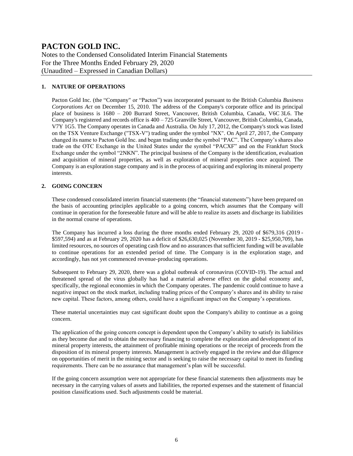Notes to the Condensed Consolidated Interim Financial Statements For the Three Months Ended February 29, 2020 (Unaudited – Expressed in Canadian Dollars)

#### **1. NATURE OF OPERATIONS**

Pacton Gold Inc. (the "Company" or "Pacton") was incorporated pursuant to the British Columbia *Business Corporations Act* on December 15, 2010. The address of the Company's corporate office and its principal place of business is 1680 – 200 Burrard Street, Vancouver, British Columbia, Canada, V6C 3L6. The Company's registered and records office is  $400 - 725$  Granville Street, Vancouver, British Columbia, Canada, V7Y 1G5. The Company operates in Canada and Australia. On July 17, 2012, the Company's stock was listed on the TSX Venture Exchange ("TSX-V") trading under the symbol "NX". On April 27, 2017, the Company changed its name to Pacton Gold Inc. and began trading under the symbol "PAC". The Company's shares also trade on the OTC Exchange in the United States under the symbol "PACXF" and on the Frankfurt Stock Exchange under the symbol "2NKN". The principal business of the Company is the identification, evaluation and acquisition of mineral properties, as well as exploration of mineral properties once acquired. The Company is an exploration stage company and is in the process of acquiring and exploring its mineral property interests.

#### **2. GOING CONCERN**

These condensed consolidated interim financial statements (the "financial statements") have been prepared on the basis of accounting principles applicable to a going concern, which assumes that the Company will continue in operation for the foreseeable future and will be able to realize its assets and discharge its liabilities in the normal course of operations.

The Company has incurred a loss during the three months ended February 29, 2020 of \$679,316 (2019 - \$597,594) and as at February 29, 2020 has a deficit of \$26,630,025 (November 30, 2019 - \$25,950,709), has limited resources, no sources of operating cash flow and no assurances that sufficient funding will be available to continue operations for an extended period of time. The Company is in the exploration stage, and accordingly, has not yet commenced revenue-producing operations.

Subsequent to February 29, 2020, there was a global outbreak of coronavirus (COVID-19). The actual and threatened spread of the virus globally has had a material adverse effect on the global economy and, specifically, the regional economies in which the Company operates. The pandemic could continue to have a negative impact on the stock market, including trading prices of the Company's shares and its ability to raise new capital. These factors, among others, could have a significant impact on the Company's operations.

These material uncertainties may cast significant doubt upon the Company's ability to continue as a going concern.

The application of the going concern concept is dependent upon the Company's ability to satisfy its liabilities as they become due and to obtain the necessary financing to complete the exploration and development of its mineral property interests, the attainment of profitable mining operations or the receipt of proceeds from the disposition of its mineral property interests. Management is actively engaged in the review and due diligence on opportunities of merit in the mining sector and is seeking to raise the necessary capital to meet its funding requirements. There can be no assurance that management's plan will be successful.

If the going concern assumption were not appropriate for these financial statements then adjustments may be necessary in the carrying values of assets and liabilities, the reported expenses and the statement of financial position classifications used. Such adjustments could be material.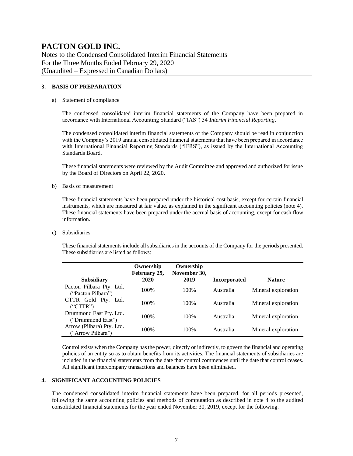Notes to the Condensed Consolidated Interim Financial Statements For the Three Months Ended February 29, 2020 (Unaudited – Expressed in Canadian Dollars)

#### **3. BASIS OF PREPARATION**

#### a) Statement of compliance

The condensed consolidated interim financial statements of the Company have been prepared in accordance with International Accounting Standard ("IAS") 34 *Interim Financial Reporting*.

The condensed consolidated interim financial statements of the Company should be read in conjunction with the Company's 2019 annual consolidated financial statements that have been prepared in accordance with International Financial Reporting Standards ("IFRS"), as issued by the International Accounting Standards Board.

These financial statements were reviewed by the Audit Committee and approved and authorized for issue by the Board of Directors on April 22, 2020.

b) Basis of measurement

These financial statements have been prepared under the historical cost basis, except for certain financial instruments, which are measured at fair value, as explained in the significant accounting policies (note 4). These financial statements have been prepared under the accrual basis of accounting, except for cash flow information.

c) Subsidiaries

These financial statements include all subsidiaries in the accounts of the Company for the periods presented. These subsidiaries are listed as follows:

| <b>Subsidiary</b>                              | Ownership<br>February 29,<br>2020 | Ownership<br>November 30,<br>2019 | <b>Incorporated</b> | <b>Nature</b>       |
|------------------------------------------------|-----------------------------------|-----------------------------------|---------------------|---------------------|
|                                                |                                   |                                   |                     |                     |
| Pacton Pilbara Pty. Ltd.<br>("Pacton Pilbara") | 100%                              | 100%                              | Australia           | Mineral exploration |
| CTTR Gold Pty. Ltd.<br>("CTTR")                | 100\%                             | 100\%                             | Australia           | Mineral exploration |
| Drummond East Pty. Ltd.<br>("Drummond East")   | 100%                              | 100\%                             | Australia           | Mineral exploration |
| Arrow (Pilbara) Pty. Ltd.<br>("Arrow Pilbara") | 100\%                             | 100\%                             | Australia           | Mineral exploration |

Control exists when the Company has the power, directly or indirectly, to govern the financial and operating policies of an entity so as to obtain benefits from its activities. The financial statements of subsidiaries are included in the financial statements from the date that control commences until the date that control ceases. All significant intercompany transactions and balances have been eliminated.

#### **4. SIGNIFICANT ACCOUNTING POLICIES**

The condensed consolidated interim financial statements have been prepared, for all periods presented, following the same accounting policies and methods of computation as described in note 4 to the audited consolidated financial statements for the year ended November 30, 2019, except for the following.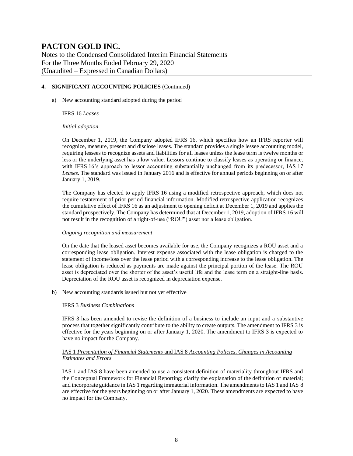Notes to the Condensed Consolidated Interim Financial Statements For the Three Months Ended February 29, 2020 (Unaudited – Expressed in Canadian Dollars)

#### **4. SIGNIFICANT ACCOUNTING POLICIES** (Continued)

a) New accounting standard adopted during the period

#### IFRS 16 *Leases*

#### *Initial adoption*

On December 1, 2019, the Company adopted IFRS 16, which specifies how an IFRS reporter will recognize, measure, present and disclose leases. The standard provides a single lessee accounting model, requiring lessees to recognize assets and liabilities for all leases unless the lease term is twelve months or less or the underlying asset has a low value. Lessors continue to classify leases as operating or finance, with IFRS 16's approach to lessor accounting substantially unchanged from its predecessor, IAS 17 *Leases*. The standard was issued in January 2016 and is effective for annual periods beginning on or after January 1, 2019.

The Company has elected to apply IFRS 16 using a modified retrospective approach, which does not require restatement of prior period financial information. Modified retrospective application recognizes the cumulative effect of IFRS 16 as an adjustment to opening deficit at December 1, 2019 and applies the standard prospectively. The Company has determined that at December 1, 2019, adoption of IFRS 16 will not result in the recognition of a right-of-use ("ROU") asset nor a lease obligation.

#### *Ongoing recognition and measurement*

On the date that the leased asset becomes available for use, the Company recognizes a ROU asset and a corresponding lease obligation. Interest expense associated with the lease obligation is charged to the statement of income/loss over the lease period with a corresponding increase to the lease obligation. The lease obligation is reduced as payments are made against the principal portion of the lease. The ROU asset is depreciated over the shorter of the asset's useful life and the lease term on a straight-line basis. Depreciation of the ROU asset is recognized in depreciation expense.

b) New accounting standards issued but not yet effective

#### IFRS 3 *Business Combinations*

IFRS 3 has been amended to revise the definition of a business to include an input and a substantive process that together significantly contribute to the ability to create outputs. The amendment to IFRS 3 is effective for the years beginning on or after January 1, 2020. The amendment to IFRS 3 is expected to have no impact for the Company.

#### IAS 1 *Presentation of Financial Statements* and IAS 8 *Accounting Policies, Changes in Accounting Estimates and Errors*

IAS 1 and IAS 8 have been amended to use a consistent definition of materiality throughout IFRS and the Conceptual Framework for Financial Reporting; clarify the explanation of the definition of material; and incorporate guidance in IAS 1 regarding immaterial information. The amendments to IAS 1 and IAS 8 are effective for the years beginning on or after January 1, 2020. These amendments are expected to have no impact for the Company.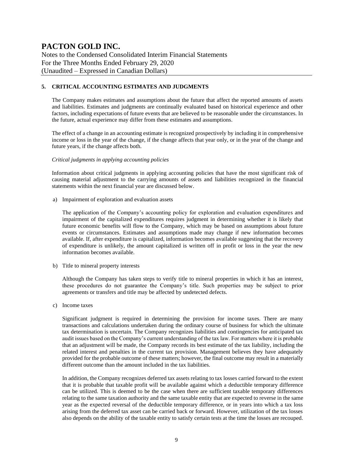Notes to the Condensed Consolidated Interim Financial Statements For the Three Months Ended February 29, 2020 (Unaudited – Expressed in Canadian Dollars)

#### **5. CRITICAL ACCOUNTING ESTIMATES AND JUDGMENTS**

The Company makes estimates and assumptions about the future that affect the reported amounts of assets and liabilities. Estimates and judgments are continually evaluated based on historical experience and other factors, including expectations of future events that are believed to be reasonable under the circumstances. In the future, actual experience may differ from these estimates and assumptions.

The effect of a change in an accounting estimate is recognized prospectively by including it in comprehensive income or loss in the year of the change, if the change affects that year only, or in the year of the change and future years, if the change affects both.

#### *Critical judgments in applying accounting policies*

Information about critical judgments in applying accounting policies that have the most significant risk of causing material adjustment to the carrying amounts of assets and liabilities recognized in the financial statements within the next financial year are discussed below.

a) Impairment of exploration and evaluation assets

The application of the Company's accounting policy for exploration and evaluation expenditures and impairment of the capitalized expenditures requires judgment in determining whether it is likely that future economic benefits will flow to the Company, which may be based on assumptions about future events or circumstances. Estimates and assumptions made may change if new information becomes available. If, after expenditure is capitalized, information becomes available suggesting that the recovery of expenditure is unlikely, the amount capitalized is written off in profit or loss in the year the new information becomes available.

b) Title to mineral property interests

Although the Company has taken steps to verify title to mineral properties in which it has an interest, these procedures do not guarantee the Company's title. Such properties may be subject to prior agreements or transfers and title may be affected by undetected defects.

c) Income taxes

Significant judgment is required in determining the provision for income taxes. There are many transactions and calculations undertaken during the ordinary course of business for which the ultimate tax determination is uncertain. The Company recognizes liabilities and contingencies for anticipated tax audit issues based on the Company's current understanding of the tax law. For matters where it is probable that an adjustment will be made, the Company records its best estimate of the tax liability, including the related interest and penalties in the current tax provision. Management believes they have adequately provided for the probable outcome of these matters; however, the final outcome may result in a materially different outcome than the amount included in the tax liabilities.

In addition, the Company recognizes deferred tax assets relating to tax losses carried forward to the extent that it is probable that taxable profit will be available against which a deductible temporary difference can be utilized. This is deemed to be the case when there are sufficient taxable temporary differences relating to the same taxation authority and the same taxable entity that are expected to reverse in the same year as the expected reversal of the deductible temporary difference, or in years into which a tax loss arising from the deferred tax asset can be carried back or forward. However, utilization of the tax losses also depends on the ability of the taxable entity to satisfy certain tests at the time the losses are recouped.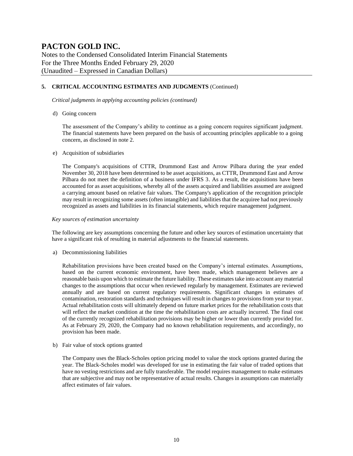Notes to the Condensed Consolidated Interim Financial Statements For the Three Months Ended February 29, 2020 (Unaudited – Expressed in Canadian Dollars)

#### **5. CRITICAL ACCOUNTING ESTIMATES AND JUDGMENTS** (Continued)

*Critical judgments in applying accounting policies (continued)*

d) Going concern

The assessment of the Company's ability to continue as a going concern requires significant judgment. The financial statements have been prepared on the basis of accounting principles applicable to a going concern, as disclosed in note 2.

#### e) Acquisition of subsidiaries

The Company's acquisitions of CTTR, Drummond East and Arrow Pilbara during the year ended November 30, 2018 have been determined to be asset acquisitions, as CTTR, Drummond East and Arrow Pilbara do not meet the definition of a business under IFRS 3. As a result, the acquisitions have been accounted for as asset acquisitions, whereby all of the assets acquired and liabilities assumed are assigned a carrying amount based on relative fair values. The Company's application of the recognition principle may result in recognizing some assets (often intangible) and liabilities that the acquiree had not previously recognized as assets and liabilities in its financial statements, which require management judgment.

#### *Key sources of estimation uncertainty*

The following are key assumptions concerning the future and other key sources of estimation uncertainty that have a significant risk of resulting in material adjustments to the financial statements.

a) Decommissioning liabilities

Rehabilitation provisions have been created based on the Company's internal estimates. Assumptions, based on the current economic environment, have been made, which management believes are a reasonable basis upon which to estimate the future liability. These estimates take into account any material changes to the assumptions that occur when reviewed regularly by management. Estimates are reviewed annually and are based on current regulatory requirements. Significant changes in estimates of contamination, restoration standards and techniques will result in changes to provisions from year to year. Actual rehabilitation costs will ultimately depend on future market prices for the rehabilitation costs that will reflect the market condition at the time the rehabilitation costs are actually incurred. The final cost of the currently recognized rehabilitation provisions may be higher or lower than currently provided for. As at February 29, 2020, the Company had no known rehabilitation requirements, and accordingly, no provision has been made.

b) Fair value of stock options granted

The Company uses the Black-Scholes option pricing model to value the stock options granted during the year. The Black-Scholes model was developed for use in estimating the fair value of traded options that have no vesting restrictions and are fully transferable. The model requires management to make estimates that are subjective and may not be representative of actual results. Changes in assumptions can materially affect estimates of fair values.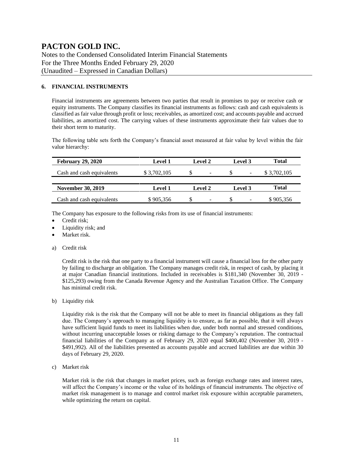Notes to the Condensed Consolidated Interim Financial Statements For the Three Months Ended February 29, 2020 (Unaudited – Expressed in Canadian Dollars)

#### **6. FINANCIAL INSTRUMENTS**

Financial instruments are agreements between two parties that result in promises to pay or receive cash or equity instruments. The Company classifies its financial instruments as follows: cash and cash equivalents is classified as fair value through profit or loss; receivables, as amortized cost; and accounts payable and accrued liabilities, as amortized cost. The carrying values of these instruments approximate their fair values due to their short term to maturity.

The following table sets forth the Company's financial asset measured at fair value by level within the fair value hierarchy:

| <b>February 29, 2020</b>  | <b>Level 1</b> | <b>Level 2</b>           | Level 3                       | Total       |
|---------------------------|----------------|--------------------------|-------------------------------|-------------|
| Cash and cash equivalents | \$3,702,105    | $\qquad \qquad$          | $\overline{\phantom{a}}$      | \$3,702,105 |
|                           |                |                          |                               |             |
| <b>November 30, 2019</b>  | <b>Level 1</b> | <b>Level 2</b>           | Level 3                       | Total       |
| Cash and cash equivalents | \$905,356      | $\overline{\phantom{0}}$ | S<br>$\overline{\phantom{a}}$ | \$905,356   |

The Company has exposure to the following risks from its use of financial instruments:

- Credit risk;
- Liquidity risk; and
- Market risk.
- a) Credit risk

Credit risk is the risk that one party to a financial instrument will cause a financial loss for the other party by failing to discharge an obligation. The Company manages credit risk, in respect of cash, by placing it at major Canadian financial institutions. Included in receivables is \$181,340 (November 30, 2019 - \$125,293) owing from the Canada Revenue Agency and the Australian Taxation Office. The Company has minimal credit risk.

b) Liquidity risk

Liquidity risk is the risk that the Company will not be able to meet its financial obligations as they fall due. The Company's approach to managing liquidity is to ensure, as far as possible, that it will always have sufficient liquid funds to meet its liabilities when due, under both normal and stressed conditions, without incurring unacceptable losses or risking damage to the Company's reputation. The contractual financial liabilities of the Company as of February 29, 2020 equal \$400,402 (November 30, 2019 - \$491,992). All of the liabilities presented as accounts payable and accrued liabilities are due within 30 days of February 29, 2020.

c) Market risk

Market risk is the risk that changes in market prices, such as foreign exchange rates and interest rates, will affect the Company's income or the value of its holdings of financial instruments. The objective of market risk management is to manage and control market risk exposure within acceptable parameters, while optimizing the return on capital.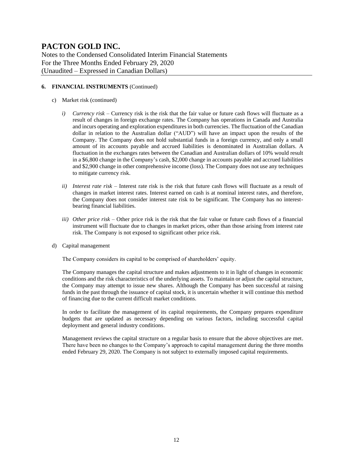Notes to the Condensed Consolidated Interim Financial Statements For the Three Months Ended February 29, 2020 (Unaudited – Expressed in Canadian Dollars)

#### **6. FINANCIAL INSTRUMENTS** (Continued)

- c) Market risk (continued)
	- *i) Currency risk –* Currency risk is the risk that the fair value or future cash flows will fluctuate as a result of changes in foreign exchange rates. The Company has operations in Canada and Australia and incurs operating and exploration expenditures in both currencies. The fluctuation of the Canadian dollar in relation to the Australian dollar ("AUD") will have an impact upon the results of the Company. The Company does not hold substantial funds in a foreign currency, and only a small amount of its accounts payable and accrued liabilities is denominated in Australian dollars. A fluctuation in the exchanges rates between the Canadian and Australian dollars of 10% would result in a \$6,800 change in the Company's cash, \$2,000 change in accounts payable and accrued liabilities and \$2,900 change in other comprehensive income (loss). The Company does not use any techniques to mitigate currency risk.
	- *ii) Interest rate risk –* Interest rate risk is the risk that future cash flows will fluctuate as a result of changes in market interest rates. Interest earned on cash is at nominal interest rates, and therefore, the Company does not consider interest rate risk to be significant. The Company has no interestbearing financial liabilities.
	- *iii) Other price risk –* Other price risk is the risk that the fair value or future cash flows of a financial instrument will fluctuate due to changes in market prices, other than those arising from interest rate risk. The Company is not exposed to significant other price risk.
- d) Capital management

The Company considers its capital to be comprised of shareholders' equity.

The Company manages the capital structure and makes adjustments to it in light of changes in economic conditions and the risk characteristics of the underlying assets. To maintain or adjust the capital structure, the Company may attempt to issue new shares. Although the Company has been successful at raising funds in the past through the issuance of capital stock, it is uncertain whether it will continue this method of financing due to the current difficult market conditions.

In order to facilitate the management of its capital requirements, the Company prepares expenditure budgets that are updated as necessary depending on various factors, including successful capital deployment and general industry conditions.

Management reviews the capital structure on a regular basis to ensure that the above objectives are met. There have been no changes to the Company's approach to capital management during the three months ended February 29, 2020. The Company is not subject to externally imposed capital requirements.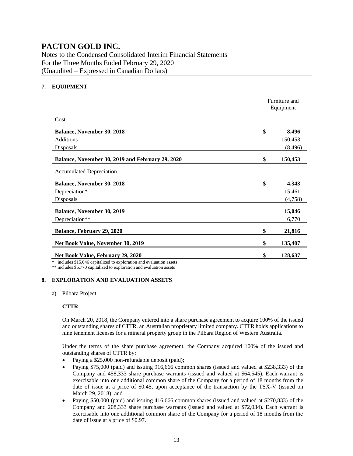Notes to the Condensed Consolidated Interim Financial Statements For the Three Months Ended February 29, 2020 (Unaudited – Expressed in Canadian Dollars)

#### **7. EQUIPMENT**

|                                                  | Furniture and<br>Equipment |          |
|--------------------------------------------------|----------------------------|----------|
| Cost                                             |                            |          |
| <b>Balance, November 30, 2018</b>                | \$                         | 8,496    |
| <b>Additions</b>                                 |                            | 150,453  |
| Disposals                                        |                            | (8, 496) |
| Balance, November 30, 2019 and February 29, 2020 | \$                         | 150,453  |
| <b>Accumulated Depreciation</b>                  |                            |          |
| <b>Balance, November 30, 2018</b>                | \$                         | 4,343    |
| Depreciation*                                    |                            | 15,461   |
| Disposals                                        |                            | (4,758)  |
| <b>Balance, November 30, 2019</b>                |                            | 15,046   |
| Depreciation**                                   |                            | 6,770    |
| Balance, February 29, 2020                       | \$                         | 21,816   |
| Net Book Value, November 30, 2019                | \$                         | 135,407  |
| Net Book Value, February 29, 2020                | \$                         | 128,637  |

\* includes \$15,046 capitalized to exploration and evaluation assets

\*\* includes \$6,770 capitalized to exploration and evaluation assets

#### **8. EXPLORATION AND EVALUATION ASSETS**

a) Pilbara Project

#### **CTTR**

On March 20, 2018, the Company entered into a share purchase agreement to acquire 100% of the issued and outstanding shares of CTTR, an Australian proprietary limited company. CTTR holds applications to nine tenement licenses for a mineral property group in the Pilbara Region of Western Australia.

Under the terms of the share purchase agreement, the Company acquired 100% of the issued and outstanding shares of CTTR by:

- Paying a \$25,000 non-refundable deposit (paid);
- Paying \$75,000 (paid) and issuing 916,666 common shares (issued and valued at \$238,333) of the Company and 458,333 share purchase warrants (issued and valued at \$64,545). Each warrant is exercisable into one additional common share of the Company for a period of 18 months from the date of issue at a price of \$0.45, upon acceptance of the transaction by the TSX-V (issued on March 29, 2018); and
- Paying \$50,000 (paid) and issuing 416,666 common shares (issued and valued at \$270,833) of the Company and 208,333 share purchase warrants (issued and valued at \$72,034). Each warrant is exercisable into one additional common share of the Company for a period of 18 months from the date of issue at a price of \$0.97.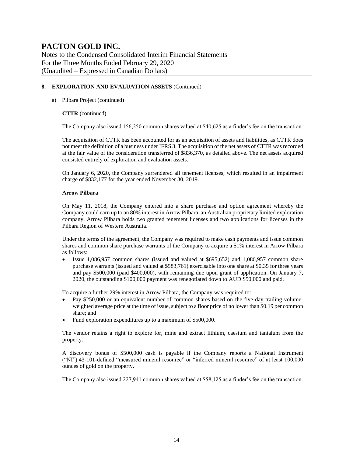Notes to the Condensed Consolidated Interim Financial Statements For the Three Months Ended February 29, 2020 (Unaudited – Expressed in Canadian Dollars)

#### **8. EXPLORATION AND EVALUATION ASSETS** (Continued)

#### a) Pilbara Project (continued)

#### **CTTR** (continued)

The Company also issued 156,250 common shares valued at \$40,625 as a finder's fee on the transaction.

The acquisition of CTTR has been accounted for as an acquisition of assets and liabilities, as CTTR does not meet the definition of a business under IFRS 3. The acquisition of the net assets of CTTR wasrecorded at the fair value of the consideration transferred of \$836,370, as detailed above. The net assets acquired consisted entirely of exploration and evaluation assets.

On January 6, 2020, the Company surrendered all tenement licenses, which resulted in an impairment charge of \$832,177 for the year ended November 30, 2019.

#### **Arrow Pilbara**

On May 11, 2018, the Company entered into a share purchase and option agreement whereby the Company could earn up to an 80% interest in Arrow Pilbara, an Australian proprietary limited exploration company. Arrow Pilbara holds two granted tenement licenses and two applications for licenses in the Pilbara Region of Western Australia.

Under the terms of the agreement, the Company was required to make cash payments and issue common shares and common share purchase warrants of the Company to acquire a 51% interest in Arrow Pilbara as follows:

• Issue 1,086,957 common shares (issued and valued at \$695,652) and 1,086,957 common share purchase warrants (issued and valued at \$583,761) exercisable into one share at \$0.35 for three years and pay \$500,000 (paid \$400,000), with remaining due upon grant of application. On January 7, 2020, the outstanding \$100,000 payment was renegotiated down to AUD \$50,000 and paid.

To acquire a further 29% interest in Arrow Pilbara, the Company was required to:

- Pay \$250,000 or an equivalent number of common shares based on the five-day trailing volumeweighted average price at the time of issue, subject to a floor price of no lower than \$0.19 per common share; and
- Fund exploration expenditures up to a maximum of \$500,000.

The vendor retains a right to explore for, mine and extract lithium, caesium and tantalum from the property.

A discovery bonus of \$500,000 cash is payable if the Company reports a National Instrument ("NI") 43-101-defined "measured mineral resource" or "inferred mineral resource" of at least 100,000 ounces of gold on the property.

The Company also issued 227,941 common shares valued at \$58,125 as a finder's fee on the transaction.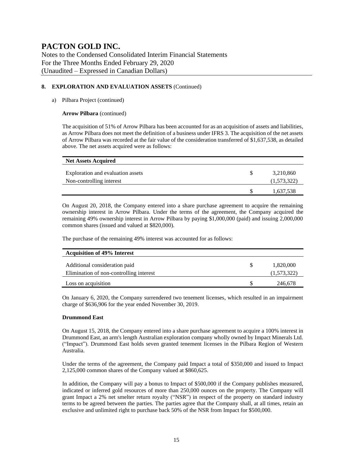Notes to the Condensed Consolidated Interim Financial Statements For the Three Months Ended February 29, 2020 (Unaudited – Expressed in Canadian Dollars)

#### **8. EXPLORATION AND EVALUATION ASSETS** (Continued)

#### a) Pilbara Project (continued)

#### **Arrow Pilbara** (continued)

The acquisition of 51% of Arrow Pilbara has been accounted for as an acquisition of assets and liabilities, as Arrow Pilbara does not meet the definition of a business under IFRS 3. The acquisition of the net assets of Arrow Pilbara was recorded at the fair value of the consideration transferred of \$1,637,538, as detailed above. The net assets acquired were as follows:

| <b>Net Assets Acquired</b>                                    |   |                          |
|---------------------------------------------------------------|---|--------------------------|
| Exploration and evaluation assets<br>Non-controlling interest | S | 3,210,860<br>(1,573,322) |
|                                                               | S | 1,637,538                |

On August 20, 2018, the Company entered into a share purchase agreement to acquire the remaining ownership interest in Arrow Pilbara. Under the terms of the agreement, the Company acquired the remaining 49% ownership interest in Arrow Pilbara by paying \$1,000,000 (paid) and issuing 2,000,000 common shares (issued and valued at \$820,000).

The purchase of the remaining 49% interest was accounted for as follows:

| <b>Acquisition of 49% Interest</b>      |             |
|-----------------------------------------|-------------|
| Additional consideration paid           | 1,820,000   |
| Elimination of non-controlling interest | (1,573,322) |
| Loss on acquisition                     | 246.678     |

On January 6, 2020, the Company surrendered two tenement licenses, which resulted in an impairment charge of \$636,906 for the year ended November 30, 2019.

#### **Drummond East**

On August 15, 2018, the Company entered into a share purchase agreement to acquire a 100% interest in Drummond East, an arm's length Australian exploration company wholly owned by Impact Minerals Ltd. ("Impact"). Drummond East holds seven granted tenement licenses in the Pilbara Region of Western Australia.

Under the terms of the agreement, the Company paid Impact a total of \$350,000 and issued to Impact 2,125,000 common shares of the Company valued at \$860,625.

In addition, the Company will pay a bonus to Impact of \$500,000 if the Company publishes measured, indicated or inferred gold resources of more than 250,000 ounces on the property. The Company will grant Impact a 2% net smelter return royalty ("NSR") in respect of the property on standard industry terms to be agreed between the parties. The parties agree that the Company shall, at all times, retain an exclusive and unlimited right to purchase back 50% of the NSR from Impact for \$500,000.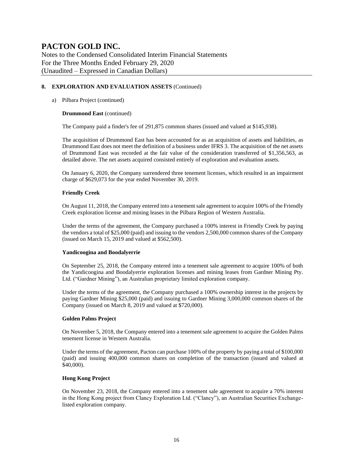Notes to the Condensed Consolidated Interim Financial Statements For the Three Months Ended February 29, 2020 (Unaudited – Expressed in Canadian Dollars)

#### **8. EXPLORATION AND EVALUATION ASSETS** (Continued)

#### a) Pilbara Project (continued)

#### **Drummond East** (continued)

The Company paid a finder's fee of 291,875 common shares (issued and valued at \$145,938).

The acquisition of Drummond East has been accounted for as an acquisition of assets and liabilities, as Drummond East does not meet the definition of a business under IFRS 3. The acquisition of the net assets of Drummond East was recorded at the fair value of the consideration transferred of \$1,356,563, as detailed above. The net assets acquired consisted entirely of exploration and evaluation assets.

On January 6, 2020, the Company surrendered three tenement licenses, which resulted in an impairment charge of \$629,073 for the year ended November 30, 2019.

#### **Friendly Creek**

On August 11, 2018, the Company entered into a tenement sale agreement to acquire 100% of the Friendly Creek exploration license and mining leases in the Pilbara Region of Western Australia.

Under the terms of the agreement, the Company purchased a 100% interest in Friendly Creek by paying the vendors a total of \$25,000 (paid) and issuing to the vendors 2,500,000 common shares of the Company (issued on March 15, 2019 and valued at \$562,500).

#### **Yandicoogina and Boodalyerrie**

On September 25, 2018, the Company entered into a tenement sale agreement to acquire 100% of both the Yandicoogina and Boodalyerrie exploration licenses and mining leases from Gardner Mining Pty. Ltd. ("Gardner Mining"), an Australian proprietary limited exploration company.

Under the terms of the agreement, the Company purchased a 100% ownership interest in the projects by paying Gardner Mining \$25,000 (paid) and issuing to Gardner Mining 3,000,000 common shares of the Company (issued on March 8, 2019 and valued at \$720,000).

#### **Golden Palms Project**

On November 5, 2018, the Company entered into a tenement sale agreement to acquire the Golden Palms tenement license in Western Australia.

Under the terms of the agreement, Pacton can purchase 100% of the property by paying a total of \$100,000 (paid) and issuing 400,000 common shares on completion of the transaction (issued and valued at \$40,000).

#### **Hong Kong Project**

On November 23, 2018, the Company entered into a tenement sale agreement to acquire a 70% interest in the Hong Kong project from Clancy Exploration Ltd. ("Clancy"), an Australian Securities Exchangelisted exploration company.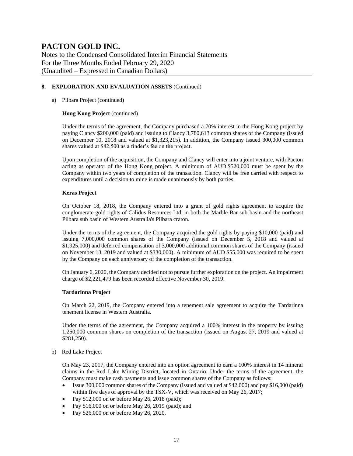Notes to the Condensed Consolidated Interim Financial Statements For the Three Months Ended February 29, 2020 (Unaudited – Expressed in Canadian Dollars)

#### **8. EXPLORATION AND EVALUATION ASSETS** (Continued)

#### a) Pilbara Project (continued)

#### **Hong Kong Project** (continued)

Under the terms of the agreement, the Company purchased a 70% interest in the Hong Kong project by paying Clancy \$200,000 (paid) and issuing to Clancy 3,780,613 common shares of the Company (issued on December 10, 2018 and valued at \$1,323,215). In addition, the Company issued 300,000 common shares valued at \$82,500 as a finder's fee on the project.

Upon completion of the acquisition, the Company and Clancy will enter into a joint venture, with Pacton acting as operator of the Hong Kong project. A minimum of AUD \$520,000 must be spent by the Company within two years of completion of the transaction. Clancy will be free carried with respect to expenditures until a decision to mine is made unanimously by both parties.

#### **Keras Project**

On October 18, 2018, the Company entered into a grant of gold rights agreement to acquire the conglomerate gold rights of Calidus Resources Ltd. in both the Marble Bar sub basin and the northeast Pilbara sub basin of Western Australia's Pilbara craton.

Under the terms of the agreement, the Company acquired the gold rights by paying \$10,000 (paid) and issuing 7,000,000 common shares of the Company (issued on December 5, 2018 and valued at \$1,925,000) and deferred compensation of 3,000,000 additional common shares of the Company (issued on November 13, 2019 and valued at \$330,000). A minimum of AUD \$55,000 was required to be spent by the Company on each anniversary of the completion of the transaction.

On January 6, 2020, the Company decided not to pursue further exploration on the project. An impairment charge of \$2,221,479 has been recorded effective November 30, 2019.

#### **Tardarinna Project**

On March 22, 2019, the Company entered into a tenement sale agreement to acquire the Tardarinna tenement license in Western Australia.

Under the terms of the agreement, the Company acquired a 100% interest in the property by issuing 1,250,000 common shares on completion of the transaction (issued on August 27, 2019 and valued at \$281,250).

b) Red Lake Project

On May 23, 2017, the Company entered into an option agreement to earn a 100% interest in 14 mineral claims in the Red Lake Mining District, located in Ontario. Under the terms of the agreement, the Company must make cash payments and issue common shares of the Company as follows:

- Issue 300,000 common shares of the Company (issued and valued at \$42,000) and pay \$16,000 (paid) within five days of approval by the TSX-V, which was received on May 26, 2017;
- Pay \$12,000 on or before May 26, 2018 (paid);
- Pay \$16,000 on or before May 26, 2019 (paid); and
- Pay \$26,000 on or before May 26, 2020.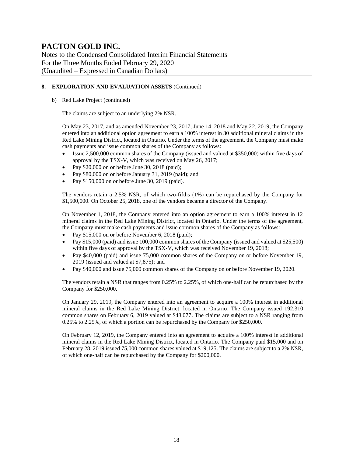Notes to the Condensed Consolidated Interim Financial Statements For the Three Months Ended February 29, 2020 (Unaudited – Expressed in Canadian Dollars)

#### **8. EXPLORATION AND EVALUATION ASSETS** (Continued)

b) Red Lake Project (continued)

The claims are subject to an underlying 2% NSR.

On May 23, 2017, and as amended November 23, 2017, June 14, 2018 and May 22, 2019, the Company entered into an additional option agreement to earn a 100% interest in 30 additional mineral claims in the Red Lake Mining District, located in Ontario. Under the terms of the agreement, the Company must make cash payments and issue common shares of the Company as follows:

- Issue 2,500,000 common shares of the Company (issued and valued at \$350,000) within five days of approval by the TSX-V, which was received on May 26, 2017;
- Pay \$20,000 on or before June 30, 2018 (paid);
- Pay \$80,000 on or before January 31, 2019 (paid); and
- Pay \$150,000 on or before June 30, 2019 (paid).

The vendors retain a 2.5% NSR, of which two-fifths (1%) can be repurchased by the Company for \$1,500,000. On October 25, 2018, one of the vendors became a director of the Company.

On November 1, 2018, the Company entered into an option agreement to earn a 100% interest in 12 mineral claims in the Red Lake Mining District, located in Ontario. Under the terms of the agreement, the Company must make cash payments and issue common shares of the Company as follows:

- Pay \$15,000 on or before November 6, 2018 (paid);
- Pay \$15,000 (paid) and issue 100,000 common shares of the Company (issued and valued at \$25,500) within five days of approval by the TSX-V, which was received November 19, 2018;
- Pay \$40,000 (paid) and issue 75,000 common shares of the Company on or before November 19, 2019 (issued and valued at \$7,875); and
- Pay \$40,000 and issue 75,000 common shares of the Company on or before November 19, 2020.

The vendors retain a NSR that ranges from 0.25% to 2.25%, of which one-half can be repurchased by the Company for \$250,000.

On January 29, 2019, the Company entered into an agreement to acquire a 100% interest in additional mineral claims in the Red Lake Mining District, located in Ontario. The Company issued 192,310 common shares on February 6, 2019 valued at \$48,077. The claims are subject to a NSR ranging from 0.25% to 2.25%, of which a portion can be repurchased by the Company for \$250,000.

On February 12, 2019, the Company entered into an agreement to acquire a 100% interest in additional mineral claims in the Red Lake Mining District, located in Ontario. The Company paid \$15,000 and on February 28, 2019 issued 75,000 common shares valued at \$19,125. The claims are subject to a 2% NSR, of which one-half can be repurchased by the Company for \$200,000.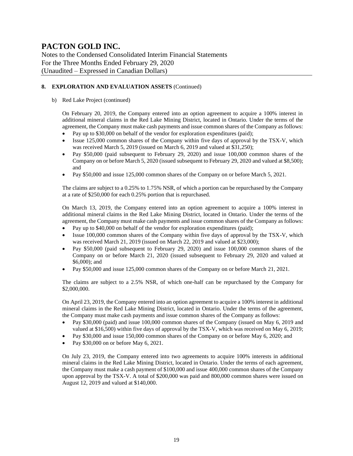Notes to the Condensed Consolidated Interim Financial Statements For the Three Months Ended February 29, 2020 (Unaudited – Expressed in Canadian Dollars)

#### **8. EXPLORATION AND EVALUATION ASSETS** (Continued)

#### b) Red Lake Project (continued)

On February 20, 2019, the Company entered into an option agreement to acquire a 100% interest in additional mineral claims in the Red Lake Mining District, located in Ontario. Under the terms of the agreement, the Company must make cash payments and issue common shares of the Company as follows:

- Pay up to \$30,000 on behalf of the vendor for exploration expenditures (paid);
- Issue 125,000 common shares of the Company within five days of approval by the TSX-V, which was received March 5, 2019 (issued on March 6, 2019 and valued at \$31,250);
- Pay \$50,000 (paid subsequent to February 29, 2020) and issue 100,000 common shares of the Company on or before March 5, 2020 (issued subsequent to February 29, 2020 and valued at \$8,500); and
- Pay \$50,000 and issue 125,000 common shares of the Company on or before March 5, 2021.

The claims are subject to a 0.25% to 1.75% NSR, of which a portion can be repurchased by the Company at a rate of \$250,000 for each 0.25% portion that is repurchased.

On March 13, 2019, the Company entered into an option agreement to acquire a 100% interest in additional mineral claims in the Red Lake Mining District, located in Ontario. Under the terms of the agreement, the Company must make cash payments and issue common shares of the Company as follows:

- Pay up to \$40,000 on behalf of the vendor for exploration expenditures (paid);
- Issue 100,000 common shares of the Company within five days of approval by the TSX-V, which was received March 21, 2019 (issued on March 22, 2019 and valued at \$23,000);
- Pay \$50,000 (paid subsequent to February 29, 2020) and issue 100,000 common shares of the Company on or before March 21, 2020 (issued subsequent to February 29, 2020 and valued at \$6,000); and
- Pay \$50,000 and issue 125,000 common shares of the Company on or before March 21, 2021.

The claims are subject to a 2.5% NSR, of which one-half can be repurchased by the Company for \$2,000,000.

On April 23, 2019, the Company entered into an option agreement to acquire a 100% interest in additional mineral claims in the Red Lake Mining District, located in Ontario. Under the terms of the agreement, the Company must make cash payments and issue common shares of the Company as follows:

- Pay \$30,000 (paid) and issue 100,000 common shares of the Company (issued on May 6, 2019 and valued at \$16,500) within five days of approval by the TSX-V, which was received on May 6, 2019;
- Pay \$30,000 and issue 150,000 common shares of the Company on or before May 6, 2020; and
- Pay \$30,000 on or before May 6, 2021.

On July 23, 2019, the Company entered into two agreements to acquire 100% interests in additional mineral claims in the Red Lake Mining District, located in Ontario. Under the terms of each agreement, the Company must make a cash payment of \$100,000 and issue 400,000 common shares of the Company upon approval by the TSX-V. A total of \$200,000 was paid and 800,000 common shares were issued on August 12, 2019 and valued at \$140,000.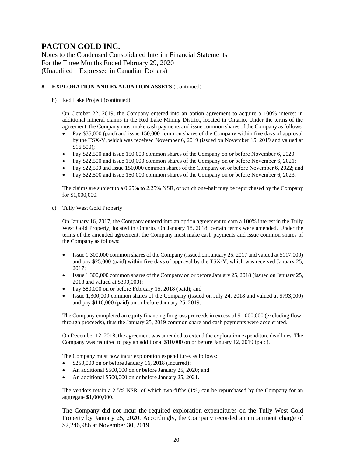Notes to the Condensed Consolidated Interim Financial Statements For the Three Months Ended February 29, 2020 (Unaudited – Expressed in Canadian Dollars)

#### **8. EXPLORATION AND EVALUATION ASSETS** (Continued)

b) Red Lake Project (continued)

On October 22, 2019, the Company entered into an option agreement to acquire a 100% interest in additional mineral claims in the Red Lake Mining District, located in Ontario. Under the terms of the agreement, the Company must make cash payments and issue common shares of the Company as follows:

- Pay \$35,000 (paid) and issue 150,000 common shares of the Company within five days of approval by the TSX-V, which was received November 6, 2019 (issued on November 15, 2019 and valued at \$16,500);
- Pay \$22,500 and issue 150,000 common shares of the Company on or before November 6, 2020;
- Pay \$22,500 and issue 150,000 common shares of the Company on or before November 6, 2021;
- Pay \$22,500 and issue 150,000 common shares of the Company on or before November 6, 2022; and
- Pay \$22,500 and issue 150,000 common shares of the Company on or before November 6, 2023.

The claims are subject to a 0.25% to 2.25% NSR, of which one-half may be repurchased by the Company for \$1,000,000.

c) Tully West Gold Property

On January 16, 2017, the Company entered into an option agreement to earn a 100% interest in the Tully West Gold Property, located in Ontario. On January 18, 2018, certain terms were amended. Under the terms of the amended agreement, the Company must make cash payments and issue common shares of the Company as follows:

- Issue 1,300,000 common shares of the Company (issued on January 25, 2017 and valued at \$117,000) and pay \$25,000 (paid) within five days of approval by the TSX-V, which was received January 25, 2017;
- Issue 1,300,000 common shares of the Company on or before January 25, 2018 (issued on January 25, 2018 and valued at \$390,000);
- Pay \$80,000 on or before February 15, 2018 (paid); and
- Issue 1,300,000 common shares of the Company (issued on July 24, 2018 and valued at \$793,000) and pay \$110,000 (paid) on or before January 25, 2019.

The Company completed an equity financing for gross proceeds in excess of \$1,000,000 (excluding flowthrough proceeds), thus the January 25, 2019 common share and cash payments were accelerated.

On December 12, 2018, the agreement was amended to extend the exploration expenditure deadlines. The Company was required to pay an additional \$10,000 on or before January 12, 2019 (paid).

The Company must now incur exploration expenditures as follows:

- \$250,000 on or before January 16, 2018 (incurred);
- An additional \$500,000 on or before January 25, 2020; and
- An additional \$500,000 on or before January 25, 2021.

The vendors retain a 2.5% NSR, of which two-fifths (1%) can be repurchased by the Company for an aggregate \$1,000,000.

The Company did not incur the required exploration expenditures on the Tully West Gold Property by January 25, 2020. Accordingly, the Company recorded an impairment charge of \$2,246,986 at November 30, 2019.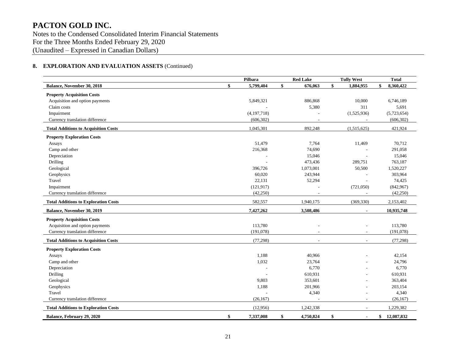Notes to the Condensed Consolidated Interim Financial Statements For the Three Months Ended February 29, 2020 (Unaudited – Expressed in Canadian Dollars)

#### **8. EXPLORATION AND EVALUATION ASSETS** (Continued)

|                                             | Pilbara       | <b>Red Lake</b> | <b>Tully West</b>        | <b>Total</b>     |
|---------------------------------------------|---------------|-----------------|--------------------------|------------------|
| \$<br>Balance, November 30, 2018            | 5,799,404     | \$<br>676,063   | \$<br>1,884,955          | 8,360,422<br>\$  |
| <b>Property Acquisition Costs</b>           |               |                 |                          |                  |
| Acquisition and option payments             | 5,849,321     | 886,868         | 10,000                   | 6,746,189        |
| Claim costs                                 |               | 5,380           | 311                      | 5,691            |
| Impairment                                  | (4, 197, 718) |                 | (1,525,936)              | (5,723,654)      |
| Currency translation difference             | (606, 302)    |                 |                          | (606, 302)       |
| <b>Total Additions to Acquisition Costs</b> | 1,045,301     | 892,248         | (1,515,625)              | 421,924          |
| <b>Property Exploration Costs</b>           |               |                 |                          |                  |
| Assays                                      | 51,479        | 7,764           | 11,469                   | 70,712           |
| Camp and other                              | 216,368       | 74,690          |                          | 291,058          |
| Depreciation                                |               | 15,046          |                          | 15,046           |
| Drilling                                    |               | 473,436         | 289,751                  | 763,187          |
| Geological                                  | 396,726       | 1,073,001       | 50,500                   | 1,520,227        |
| Geophysics                                  | 60,020        | 243,944         |                          | 303,964          |
| Travel                                      | 22,131        | 52,294          |                          | 74,425           |
| Impairment                                  | (121, 917)    |                 | (721, 050)               | (842,967)        |
| Currency translation difference             | (42,250)      |                 |                          | (42, 250)        |
| <b>Total Additions to Exploration Costs</b> | 582,557       | 1,940,175       | (369, 330)               | 2,153,402        |
| Balance, November 30, 2019                  | 7,427,262     | 3,508,486       |                          | 10,935,748       |
| <b>Property Acquisition Costs</b>           |               |                 |                          |                  |
| Acquisition and option payments             | 113,780       | $\overline{a}$  |                          | 113,780          |
| Currency translation difference             | (191,078)     |                 |                          | (191,078)        |
| <b>Total Additions to Acquisition Costs</b> | (77, 298)     |                 |                          | (77, 298)        |
| <b>Property Exploration Costs</b>           |               |                 |                          |                  |
| Assays                                      | 1,188         | 40,966          |                          | 42,154           |
| Camp and other                              | 1,032         | 23,764          |                          | 24,796           |
| Depreciation                                |               | 6,770           |                          | 6,770            |
| Drilling                                    |               | 610,931         |                          | 610,931          |
| Geological                                  | 9,803         | 353,601         |                          | 363,404          |
| Geophysics                                  | 1,188         | 201,966         |                          | 203,154          |
| Travel                                      |               | 4,340           |                          | 4,340            |
| Currency translation difference             | (26, 167)     |                 |                          | (26, 167)        |
| <b>Total Additions to Exploration Costs</b> | (12,956)      | 1,242,338       | $\overline{\phantom{a}}$ | 1,229,382        |
| Balance, February 29, 2020<br>\$            | 7,337,008     | \$<br>4,750,824 | \$                       | 12,087,832<br>\$ |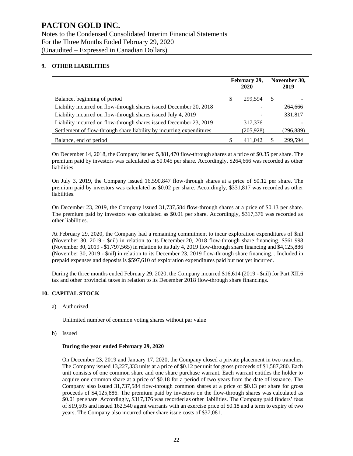#### **9. OTHER LIABILITIES**

|                                                                      | February 29,<br>2020 |            | November 30,<br>2019 |           |
|----------------------------------------------------------------------|----------------------|------------|----------------------|-----------|
| Balance, beginning of period                                         | S                    | 299.594    | <sup>\$</sup>        |           |
| Liability incurred on flow-through shares issued December 20, 2018   |                      |            |                      | 264,666   |
| Liability incurred on flow-through shares issued July 4, 2019        |                      |            |                      | 331,817   |
| Liability incurred on flow-through shares issued December 23, 2019   |                      | 317,376    |                      |           |
| Settlement of flow-through share liability by incurring expenditures |                      | (205, 928) |                      | (296,889) |
| Balance, end of period                                               | S                    | 411.042    | S                    | 299.594   |

On December 14, 2018, the Company issued 5,881,470 flow-through shares at a price of \$0.35 per share. The premium paid by investors was calculated as \$0.045 per share. Accordingly, \$264,666 was recorded as other liabilities.

On July 3, 2019, the Company issued 16,590,847 flow-through shares at a price of \$0.12 per share. The premium paid by investors was calculated as \$0.02 per share. Accordingly, \$331,817 was recorded as other liabilities.

On December 23, 2019, the Company issued 31,737,584 flow-through shares at a price of \$0.13 per share. The premium paid by investors was calculated as \$0.01 per share. Accordingly, \$317,376 was recorded as other liabilities.

At February 29, 2020, the Company had a remaining commitment to incur exploration expenditures of \$nil (November 30, 2019 - \$nil) in relation to its December 20, 2018 flow-through share financing, \$561,998 (November 30, 2019 - \$1,797,565) in relation to its July 4, 2019 flow-through share financing and \$4,125,886 (November 30, 2019 - \$nil) in relation to its December 23, 2019 flow-through share financing. . Included in prepaid expenses and deposits is \$597,610 of exploration expenditures paid but not yet incurred.

During the three months ended February 29, 2020, the Company incurred \$16,614 (2019 - \$nil) for Part XII.6 tax and other provincial taxes in relation to its December 2018 flow-through share financings.

#### **10. CAPITAL STOCK**

a) Authorized

Unlimited number of common voting shares without par value

b) Issued

#### **During the year ended February 29, 2020**

On December 23, 2019 and January 17, 2020, the Company closed a private placement in two tranches. The Company issued 13,227,333 units at a price of \$0.12 per unit for gross proceeds of \$1,587,280. Each unit consists of one common share and one share purchase warrant. Each warrant entitles the holder to acquire one common share at a price of \$0.18 for a period of two years from the date of issuance. The Company also issued 31,737,584 flow-through common shares at a price of \$0.13 per share for gross proceeds of \$4,125,886. The premium paid by investors on the flow-through shares was calculated as \$0.01 per share. Accordingly, \$317,376 was recorded as other liabilities. The Company paid finders' fees of \$19,505 and issued 162,540 agent warrants with an exercise price of \$0.18 and a term to expiry of two years. The Company also incurred other share issue costs of \$37,081.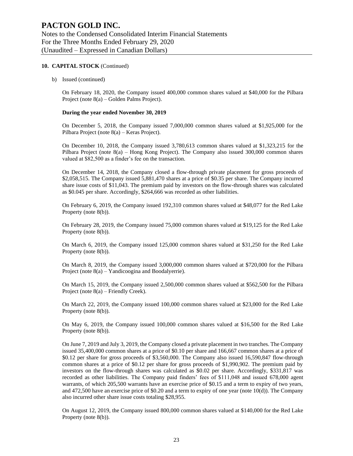#### **10. CAPITAL STOCK** (Continued)

b) Issued (continued)

On February 18, 2020, the Company issued 400,000 common shares valued at \$40,000 for the Pilbara Project (note 8(a) – Golden Palms Project).

#### **During the year ended November 30, 2019**

On December 5, 2018, the Company issued 7,000,000 common shares valued at \$1,925,000 for the Pilbara Project (note 8(a) – Keras Project).

On December 10, 2018, the Company issued 3,780,613 common shares valued at \$1,323,215 for the Pilbara Project (note 8(a) – Hong Kong Project). The Company also issued 300,000 common shares valued at \$82,500 as a finder's fee on the transaction.

On December 14, 2018, the Company closed a flow-through private placement for gross proceeds of \$2,058,515. The Company issued 5,881,470 shares at a price of \$0.35 per share. The Company incurred share issue costs of \$11,043. The premium paid by investors on the flow-through shares was calculated as \$0.045 per share. Accordingly, \$264,666 was recorded as other liabilities.

On February 6, 2019, the Company issued 192,310 common shares valued at \$48,077 for the Red Lake Property (note 8(b)).

On February 28, 2019, the Company issued 75,000 common shares valued at \$19,125 for the Red Lake Property (note 8(b)).

On March 6, 2019, the Company issued 125,000 common shares valued at \$31,250 for the Red Lake Property (note 8(b)).

On March 8, 2019, the Company issued 3,000,000 common shares valued at \$720,000 for the Pilbara Project (note 8(a) – Yandicoogina and Boodalyerrie).

On March 15, 2019, the Company issued 2,500,000 common shares valued at \$562,500 for the Pilbara Project (note 8(a) – Friendly Creek).

On March 22, 2019, the Company issued 100,000 common shares valued at \$23,000 for the Red Lake Property (note 8(b)).

On May 6, 2019, the Company issued 100,000 common shares valued at \$16,500 for the Red Lake Property (note 8(b)).

On June 7, 2019 and July 3, 2019, the Company closed a private placement in two tranches. The Company issued 35,400,000 common shares at a price of \$0.10 per share and 166,667 common shares at a price of \$0.12 per share for gross proceeds of \$3,560,000. The Company also issued 16,590,847 flow-through common shares at a price of \$0.12 per share for gross proceeds of \$1,990,902. The premium paid by investors on the flow-through shares was calculated as \$0.02 per share. Accordingly, \$331,817 was recorded as other liabilities. The Company paid finders' fees of \$111,048 and issued 678,000 agent warrants, of which 205,500 warrants have an exercise price of \$0.15 and a term to expiry of two years, and 472,500 have an exercise price of \$0.20 and a term to expiry of one year (note 10(d)). The Company also incurred other share issue costs totaling \$28,955.

On August 12, 2019, the Company issued 800,000 common shares valued at \$140,000 for the Red Lake Property (note 8(b)).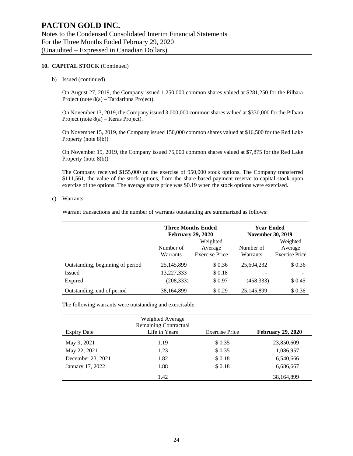#### **10. CAPITAL STOCK** (Continued)

b) Issued (continued)

On August 27, 2019, the Company issued 1,250,000 common shares valued at \$281,250 for the Pilbara Project (note 8(a) – Tardarinna Project).

On November 13, 2019, the Company issued 3,000,000 common shares valued at \$330,000 for the Pilbara Project (note 8(a) – Keras Project).

On November 15, 2019, the Company issued 150,000 common shares valued at \$16,500 for the Red Lake Property (note 8(b)).

On November 19, 2019, the Company issued 75,000 common shares valued at \$7,875 for the Red Lake Property (note 8(b)).

The Company received \$155,000 on the exercise of 950,000 stock options. The Company transferred \$111,561, the value of the stock options, from the share-based payment reserve to capital stock upon exercise of the options. The average share price was \$0.19 when the stock options were exercised.

#### c) Warrants

Warrant transactions and the number of warrants outstanding are summarized as follows:

|                                  | <b>Three Months Ended</b><br><b>February 29, 2020</b> |                       | <b>Year Ended</b><br><b>November 30, 2019</b> |                       |
|----------------------------------|-------------------------------------------------------|-----------------------|-----------------------------------------------|-----------------------|
|                                  |                                                       | Weighted              |                                               | Weighted              |
|                                  | Number of                                             | Average               | Number of                                     | Average               |
|                                  | Warrants                                              | <b>Exercise Price</b> | Warrants                                      | <b>Exercise Price</b> |
| Outstanding, beginning of period | 25,145,899                                            | \$0.36                | 25,604,232                                    | \$0.36                |
| Issued                           | 13,227,333                                            | \$0.18                |                                               |                       |
| Expired                          | (208, 333)                                            | \$0.97                | (458,333)                                     | \$ 0.45               |
| Outstanding, end of period       | 38,164,899                                            | \$0.29                | 25,145,899                                    | \$0.36                |

The following warrants were outstanding and exercisable:

|                    | Weighted Average<br><b>Remaining Contractual</b> |                       |                          |
|--------------------|--------------------------------------------------|-----------------------|--------------------------|
| <b>Expiry Date</b> | Life in Years                                    | <b>Exercise Price</b> | <b>February 29, 2020</b> |
| May 9, 2021        | 1.19                                             | \$0.35                | 23,850,609               |
| May 22, 2021       | 1.23                                             | \$0.35                | 1,086,957                |
| December 23, 2021  | 1.82                                             | \$0.18                | 6,540,666                |
| January 17, 2022   | 1.88                                             | \$0.18                | 6,686,667                |
|                    | 1.42                                             |                       | 38, 164, 899             |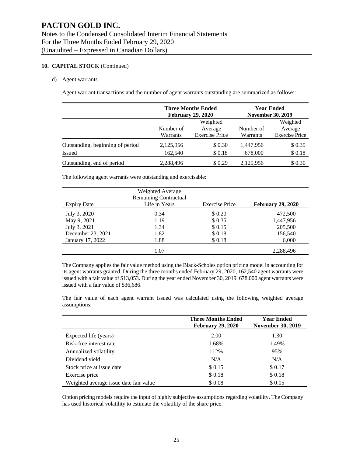#### **10. CAPITAL STOCK** (Continued)

#### d) Agent warrants

Agent warrant transactions and the number of agent warrants outstanding are summarized as follows:

|                                  |           | <b>Three Months Ended</b><br><b>February 29, 2020</b> |           | <b>Year Ended</b><br><b>November 30, 2019</b> |  |
|----------------------------------|-----------|-------------------------------------------------------|-----------|-----------------------------------------------|--|
|                                  |           | Weighted                                              |           | Weighted                                      |  |
|                                  | Number of | Average                                               | Number of | Average                                       |  |
|                                  | Warrants  | <b>Exercise Price</b>                                 |           | <b>Exercise Price</b>                         |  |
| Outstanding, beginning of period | 2,125,956 | \$0.30                                                | 1,447,956 | \$0.35                                        |  |
| <b>Issued</b>                    | 162,540   | \$0.18                                                | 678,000   | \$0.18                                        |  |
| Outstanding, end of period       | 2,288,496 | \$0.29                                                | 2,125,956 | \$0.30                                        |  |

The following agent warrants were outstanding and exercisable:

|                    | Weighted Average<br><b>Remaining Contractual</b> |                       |                          |
|--------------------|--------------------------------------------------|-----------------------|--------------------------|
| <b>Expiry Date</b> | Life in Years                                    | <b>Exercise Price</b> | <b>February 29, 2020</b> |
| July 3, 2020       | 0.34                                             | \$ 0.20               | 472,500                  |
| May 9, 2021        | 1.19                                             | \$0.35                | 1,447,956                |
| July 3, 2021       | 1.34                                             | \$0.15                | 205,500                  |
| December 23, 2021  | 1.82                                             | \$0.18                | 156,540                  |
| January 17, 2022   | 1.88                                             | \$0.18                | 6,000                    |
|                    | 1.07                                             |                       | 2,288,496                |

The Company applies the fair value method using the Black-Scholes option pricing model in accounting for its agent warrants granted. During the three months ended February 29, 2020, 162,540 agent warrants were issued with a fair value of \$13,053. During the year ended November 30, 2019, 678,000 agent warrants were issued with a fair value of \$36,686.

The fair value of each agent warrant issued was calculated using the following weighted average assumptions:

|                                        | <b>Three Months Ended</b><br><b>February 29, 2020</b> | <b>Year Ended</b><br><b>November 30, 2019</b> |
|----------------------------------------|-------------------------------------------------------|-----------------------------------------------|
| Expected life (years)                  | 2.00                                                  | 1.30                                          |
| Risk-free interest rate                | 1.68%                                                 | 1.49%                                         |
| Annualized volatility                  | 112%                                                  | 95%                                           |
| Dividend yield                         | N/A                                                   | N/A                                           |
| Stock price at issue date              | \$0.15                                                | \$0.17                                        |
| Exercise price                         | \$0.18                                                | \$0.18                                        |
| Weighted average issue date fair value | \$0.08                                                | \$0.05                                        |

Option pricing models require the input of highly subjective assumptions regarding volatility. The Company has used historical volatility to estimate the volatility of the share price.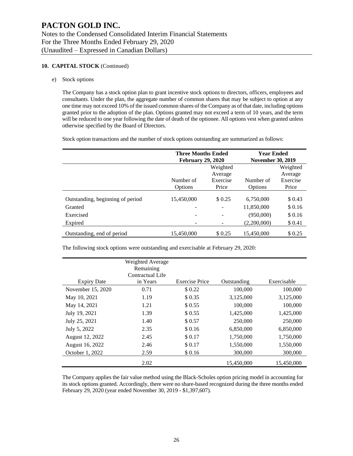#### **10. CAPITAL STOCK** (Continued)

e) Stock options

The Company has a stock option plan to grant incentive stock options to directors, officers, employees and consultants. Under the plan, the aggregate number of common shares that may be subject to option at any one time may not exceed 10% of the issued common shares of the Company as of that date, including options granted prior to the adoption of the plan. Options granted may not exceed a term of 10 years, and the term will be reduced to one year following the date of death of the optionee. All options vest when granted unless otherwise specified by the Board of Directors.

Stock option transactions and the number of stock options outstanding are summarized as follows:

|                                  | <b>Three Months Ended</b><br><b>February 29, 2020</b> |          | <b>Year Ended</b><br><b>November 30, 2019</b> |          |  |
|----------------------------------|-------------------------------------------------------|----------|-----------------------------------------------|----------|--|
|                                  |                                                       | Weighted |                                               | Weighted |  |
|                                  |                                                       | Average  |                                               | Average  |  |
|                                  | Number of                                             | Exercise | Number of                                     | Exercise |  |
|                                  | Options                                               | Price    | Options                                       | Price    |  |
| Outstanding, beginning of period | 15,450,000                                            | \$0.25   | 6,750,000                                     | \$ 0.43  |  |
| Granted                          |                                                       |          | 11,850,000                                    | \$0.16   |  |
| Exercised                        |                                                       |          | (950,000)                                     | \$0.16   |  |
| Expired                          |                                                       |          | (2,200,000)                                   | \$0.41   |  |
| Outstanding, end of period       | 15.450,000                                            | \$ 0.25  | 15,450,000                                    | \$ 0.25  |  |

The following stock options were outstanding and exercisable at February 29, 2020:

|                    | Weighted Average |                       |             |             |
|--------------------|------------------|-----------------------|-------------|-------------|
|                    | Remaining        |                       |             |             |
|                    | Contractual Life |                       |             |             |
| <b>Expiry Date</b> | in Years         | <b>Exercise Price</b> | Outstanding | Exercisable |
| November 15, 2020  | 0.71             | \$0.22                | 100,000     | 100,000     |
| May 10, 2021       | 1.19             | \$0.35                | 3,125,000   | 3,125,000   |
| May 14, 2021       | 1.21             | \$0.55                | 100,000     | 100,000     |
| July 19, 2021      | 1.39             | \$0.55                | 1,425,000   | 1,425,000   |
| July 25, 2021      | 1.40             | \$0.57                | 250,000     | 250,000     |
| July 5, 2022       | 2.35             | \$0.16                | 6,850,000   | 6,850,000   |
| August 12, 2022    | 2.45             | \$0.17                | 1,750,000   | 1,750,000   |
| August 16, 2022    | 2.46             | \$0.17                | 1,550,000   | 1,550,000   |
| October 1, 2022    | 2.59             | \$0.16                | 300,000     | 300,000     |
|                    | 2.02             |                       | 15,450,000  | 15,450,000  |

The Company applies the fair value method using the Black-Scholes option pricing model in accounting for its stock options granted. Accordingly, there were no share-based recognized during the three months ended February 29, 2020 (year ended November 30, 2019 - \$1,397,607).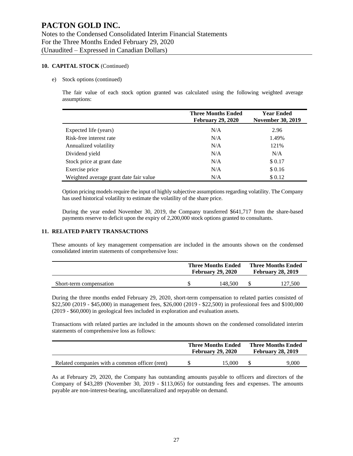#### **10. CAPITAL STOCK** (Continued)

e) Stock options (continued)

The fair value of each stock option granted was calculated using the following weighted average assumptions:

|                                        | <b>Three Months Ended</b><br><b>February 29, 2020</b> | <b>Year Ended</b><br><b>November 30, 2019</b> |
|----------------------------------------|-------------------------------------------------------|-----------------------------------------------|
| Expected life (years)                  | N/A                                                   | 2.96                                          |
| Risk-free interest rate                | N/A                                                   | 1.49%                                         |
| Annualized volatility                  | N/A                                                   | 121\%                                         |
| Dividend yield                         | N/A                                                   | N/A                                           |
| Stock price at grant date              | N/A                                                   | \$0.17                                        |
| Exercise price                         | N/A                                                   | \$0.16                                        |
| Weighted average grant date fair value | N/A                                                   | \$0.12                                        |

Option pricing models require the input of highly subjective assumptions regarding volatility. The Company has used historical volatility to estimate the volatility of the share price.

During the year ended November 30, 2019, the Company transferred \$641,717 from the share-based payments reserve to deficit upon the expiry of 2,200,000 stock options granted to consultants.

#### **11. RELATED PARTY TRANSACTIONS**

These amounts of key management compensation are included in the amounts shown on the condensed consolidated interim statements of comprehensive loss:

|                         | <b>Three Months Ended</b><br><b>February 29, 2020</b> |         | <b>Three Months Ended</b><br><b>February 28, 2019</b> |         |
|-------------------------|-------------------------------------------------------|---------|-------------------------------------------------------|---------|
| Short-term compensation |                                                       | 148.500 |                                                       | 127.500 |

During the three months ended February 29, 2020, short-term compensation to related parties consisted of \$22,500 (2019 - \$45,000) in management fees, \$26,000 (2019 - \$22,500) in professional fees and \$100,000 (2019 - \$60,000) in geological fees included in exploration and evaluation assets.

Transactions with related parties are included in the amounts shown on the condensed consolidated interim statements of comprehensive loss as follows:

|                                                | <b>Three Months Ended</b><br><b>February 29, 2020</b> |        | <b>Three Months Ended</b><br><b>February 28, 2019</b> |       |
|------------------------------------------------|-------------------------------------------------------|--------|-------------------------------------------------------|-------|
| Related companies with a common officer (rent) |                                                       | 15,000 |                                                       | 9.000 |

As at February 29, 2020, the Company has outstanding amounts payable to officers and directors of the Company of \$43,289 (November 30, 2019 - \$113,065) for outstanding fees and expenses. The amounts payable are non-interest-bearing, uncollateralized and repayable on demand.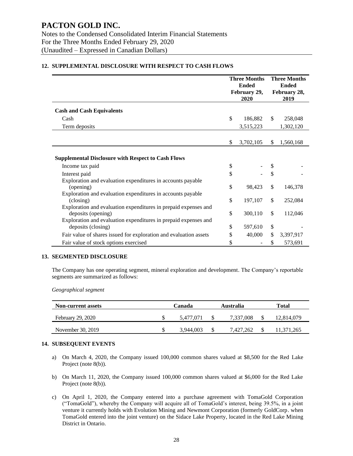|                                                                                                                                         | <b>Three Months</b>  |    | <b>Three Months</b>                  |  |
|-----------------------------------------------------------------------------------------------------------------------------------------|----------------------|----|--------------------------------------|--|
|                                                                                                                                         | <b>Ended</b>         |    | <b>Ended</b><br>February 28,<br>2019 |  |
|                                                                                                                                         | February 29,<br>2020 |    |                                      |  |
| <b>Cash and Cash Equivalents</b>                                                                                                        |                      |    |                                      |  |
| Cash                                                                                                                                    | \$<br>186,882        | \$ | 258,048                              |  |
| Term deposits                                                                                                                           | 3,515,223            |    | 1,302,120                            |  |
|                                                                                                                                         | \$<br>3,702,105      | \$ | 1,560,168                            |  |
| <b>Supplemental Disclosure with Respect to Cash Flows</b><br>Income tax paid                                                            | \$                   |    |                                      |  |
| Interest paid                                                                                                                           | \$                   | \$ |                                      |  |
| Exploration and evaluation expenditures in accounts payable<br>(opening)<br>Exploration and evaluation expenditures in accounts payable | \$<br>98,423         | \$ | 146,378                              |  |
| (closing)                                                                                                                               | \$<br>197,107        | \$ | 252,084                              |  |
| Exploration and evaluation expenditures in prepaid expenses and<br>deposits (opening)                                                   | \$<br>300,110        | \$ | 112,046                              |  |
| Exploration and evaluation expenditures in prepaid expenses and<br>deposits (closing)                                                   | \$<br>597,610        | \$ |                                      |  |
| Fair value of shares issued for exploration and evaluation assets                                                                       | \$<br>40,000         | \$ | 3,397,917                            |  |
| Fair value of stock options exercised                                                                                                   | \$                   | \$ | 573,691                              |  |

#### **12. SUPPLEMENTAL DISCLOSURE WITH RESPECT TO CASH FLOWS**

#### **13. SEGMENTED DISCLOSURE**

The Company has one operating segment, mineral exploration and development. The Company's reportable segments are summarized as follows:

*Geographical segment*

| <b>Non-current assets</b> | Canada |           | Australia |           | Total |            |
|---------------------------|--------|-----------|-----------|-----------|-------|------------|
| February 29, 2020         | Ъ      | 5.477.071 |           | 7.337.008 |       | 12.814.079 |
| November 30, 2019         | Ъ      | 3.944,003 |           | 7.427.262 |       | 11,371,265 |

#### **14. SUBSEQUENT EVENTS**

- a) On March 4, 2020, the Company issued 100,000 common shares valued at \$8,500 for the Red Lake Project (note 8(b)).
- b) On March 11, 2020, the Company issued 100,000 common shares valued at \$6,000 for the Red Lake Project (note 8(b)).
- c) On April 1, 2020, the Company entered into a purchase agreement with TomaGold Corporation ("TomaGold"), whereby the Company will acquire all of TomaGold's interest, being 39.5%, in a joint venture it currently holds with Evolution Mining and Newmont Corporation (formerly GoldCorp. when TomaGold entered into the joint venture) on the Sidace Lake Property, located in the Red Lake Mining District in Ontario.